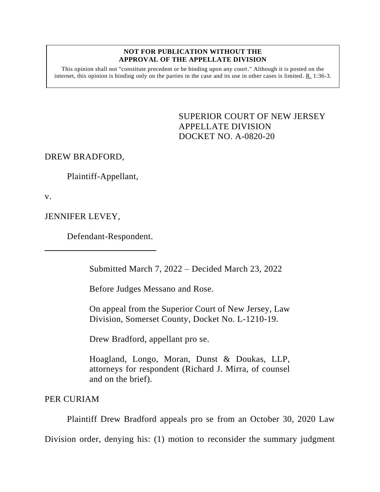## **NOT FOR PUBLICATION WITHOUT THE APPROVAL OF THE APPELLATE DIVISION**

This opinion shall not "constitute precedent or be binding upon any court." Although it is posted on the internet, this opinion is binding only on the parties in the case and its use in other cases is limited. R. 1:36-3.

> SUPERIOR COURT OF NEW JERSEY APPELLATE DIVISION DOCKET NO. A-0820-20

DREW BRADFORD,

Plaintiff-Appellant,

v.

JENNIFER LEVEY,

Defendant-Respondent.

Submitted March 7, 2022 – Decided March 23, 2022

Before Judges Messano and Rose.

On appeal from the Superior Court of New Jersey, Law Division, Somerset County, Docket No. L-1210-19.

Drew Bradford, appellant pro se.

Hoagland, Longo, Moran, Dunst & Doukas, LLP, attorneys for respondent (Richard J. Mirra, of counsel and on the brief).

PER CURIAM

Plaintiff Drew Bradford appeals pro se from an October 30, 2020 Law

Division order, denying his: (1) motion to reconsider the summary judgment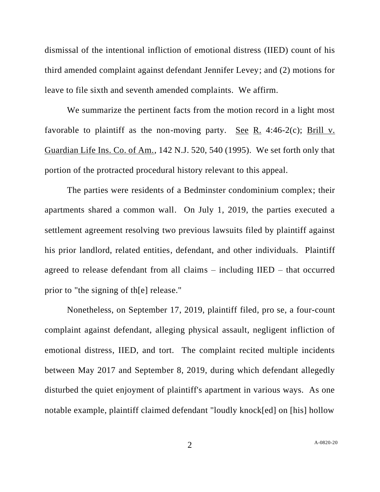dismissal of the intentional infliction of emotional distress (IIED) count of his third amended complaint against defendant Jennifer Levey; and (2) motions for leave to file sixth and seventh amended complaints. We affirm.

We summarize the pertinent facts from the motion record in a light most favorable to plaintiff as the non-moving party. See R. 4:46-2 $(c)$ ; Brill v. Guardian Life Ins. Co. of Am., 142 N.J. 520, 540 (1995). We set forth only that portion of the protracted procedural history relevant to this appeal.

The parties were residents of a Bedminster condominium complex; their apartments shared a common wall. On July 1, 2019, the parties executed a settlement agreement resolving two previous lawsuits filed by plaintiff against his prior landlord, related entities, defendant, and other individuals. Plaintiff agreed to release defendant from all claims – including IIED – that occurred prior to "the signing of th[e] release."

Nonetheless, on September 17, 2019, plaintiff filed, pro se, a four-count complaint against defendant, alleging physical assault, negligent infliction of emotional distress, IIED, and tort. The complaint recited multiple incidents between May 2017 and September 8, 2019, during which defendant allegedly disturbed the quiet enjoyment of plaintiff's apartment in various ways. As one notable example, plaintiff claimed defendant "loudly knock[ed] on [his] hollow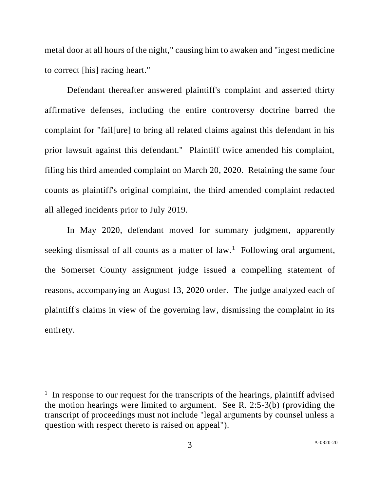metal door at all hours of the night," causing him to awaken and "ingest medicine to correct [his] racing heart."

Defendant thereafter answered plaintiff's complaint and asserted thirty affirmative defenses, including the entire controversy doctrine barred the complaint for "fail[ure] to bring all related claims against this defendant in his prior lawsuit against this defendant." Plaintiff twice amended his complaint, filing his third amended complaint on March 20, 2020. Retaining the same four counts as plaintiff's original complaint, the third amended complaint redacted all alleged incidents prior to July 2019.

In May 2020, defendant moved for summary judgment, apparently seeking dismissal of all counts as a matter of  $law$ .<sup>1</sup> Following oral argument, the Somerset County assignment judge issued a compelling statement of reasons, accompanying an August 13, 2020 order. The judge analyzed each of plaintiff's claims in view of the governing law, dismissing the complaint in its entirety.

<sup>&</sup>lt;sup>1</sup> In response to our request for the transcripts of the hearings, plaintiff advised the motion hearings were limited to argument. See R. 2:5-3(b) (providing the transcript of proceedings must not include "legal arguments by counsel unless a question with respect thereto is raised on appeal").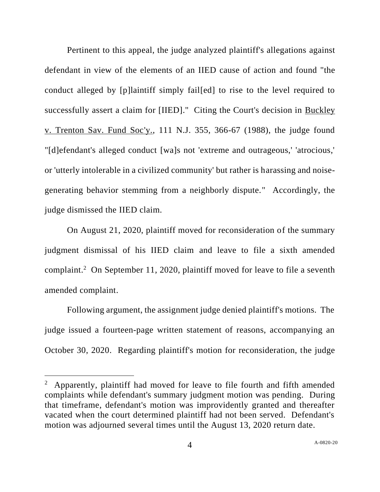Pertinent to this appeal, the judge analyzed plaintiff's allegations against defendant in view of the elements of an IIED cause of action and found "the conduct alleged by [p]laintiff simply fail[ed] to rise to the level required to successfully assert a claim for [IIED]." Citing the Court's decision in Buckley v. Trenton Sav. Fund Soc'y., 111 N.J. 355, 366-67 (1988), the judge found "[d]efendant's alleged conduct [wa]s not 'extreme and outrageous,' 'atrocious,' or 'utterly intolerable in a civilized community' but rather is harassing and noisegenerating behavior stemming from a neighborly dispute." Accordingly, the judge dismissed the IIED claim.

On August 21, 2020, plaintiff moved for reconsideration of the summary judgment dismissal of his IIED claim and leave to file a sixth amended complaint.<sup>2</sup> On September 11, 2020, plaintiff moved for leave to file a seventh amended complaint.

Following argument, the assignment judge denied plaintiff's motions. The judge issued a fourteen-page written statement of reasons, accompanying an October 30, 2020. Regarding plaintiff's motion for reconsideration, the judge

<sup>&</sup>lt;sup>2</sup> Apparently, plaintiff had moved for leave to file fourth and fifth amended complaints while defendant's summary judgment motion was pending. During that timeframe, defendant's motion was improvidently granted and thereafter vacated when the court determined plaintiff had not been served. Defendant's motion was adjourned several times until the August 13, 2020 return date.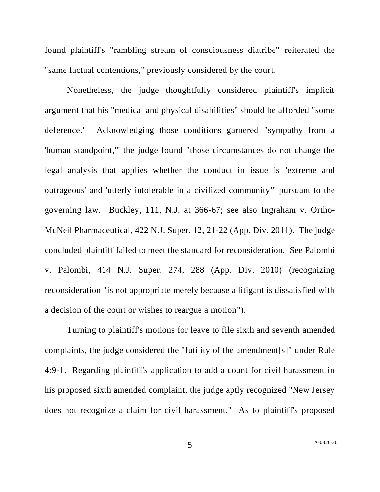found plaintiff's "rambling stream of consciousness diatribe" reiterated the "same factual contentions," previously considered by the court.

Nonetheless, the judge thoughtfully considered plaintiff's implicit argument that his "medical and physical disabilities" should be afforded "some deference." Acknowledging those conditions garnered "sympathy from a 'human standpoint,'" the judge found "those circumstances do not change the legal analysis that applies whether the conduct in issue is 'extreme and outrageous' and 'utterly intolerable in a civilized community'" pursuant to the governing law. Buckley, 111, N.J. at 366-67; see also Ingraham v. Ortho-McNeil Pharmaceutical, 422 N.J. Super. 12, 21-22 (App. Div. 2011). The judge concluded plaintiff failed to meet the standard for reconsideration. See Palombi v. Palombi, 414 N.J. Super. 274, 288 (App. Div. 2010) (recognizing reconsideration "is not appropriate merely because a litigant is dissatisfied with a decision of the court or wishes to reargue a motion").

Turning to plaintiff's motions for leave to file sixth and seventh amended complaints, the judge considered the "futility of the amendment[s]" under Rule 4:9-1. Regarding plaintiff's application to add a count for civil harassment in his proposed sixth amended complaint, the judge aptly recognized "New Jersey does not recognize a claim for civil harassment." As to plaintiff's proposed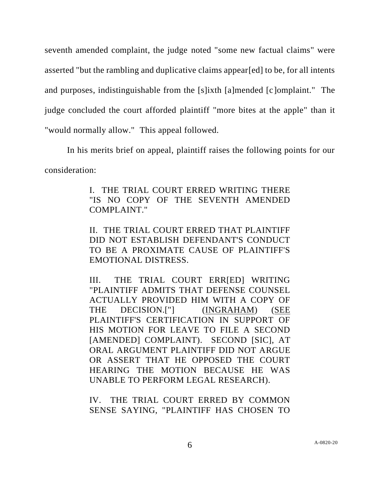seventh amended complaint, the judge noted "some new factual claims" were asserted "but the rambling and duplicative claims appear[ed] to be, for all intents and purposes, indistinguishable from the [s]ixth [a]mended [c]omplaint." The judge concluded the court afforded plaintiff "more bites at the apple" than it "would normally allow." This appeal followed.

In his merits brief on appeal, plaintiff raises the following points for our consideration:

> I. THE TRIAL COURT ERRED WRITING THERE "IS NO COPY OF THE SEVENTH AMENDED COMPLAINT."

> II. THE TRIAL COURT ERRED THAT PLAINTIFF DID NOT ESTABLISH DEFENDANT'S CONDUCT TO BE A PROXIMATE CAUSE OF PLAINTIFF'S EMOTIONAL DISTRESS.

> III. THE TRIAL COURT ERR[ED] WRITING "PLAINTIFF ADMITS THAT DEFENSE COUNSEL ACTUALLY PROVIDED HIM WITH A COPY OF THE DECISION.["] (INGRAHAM) (SEE PLAINTIFF'S CERTIFICATION IN SUPPORT OF HIS MOTION FOR LEAVE TO FILE A SECOND [AMENDED] COMPLAINT). SECOND [SIC], AT ORAL ARGUMENT PLAINTIFF DID NOT ARGUE OR ASSERT THAT HE OPPOSED THE COURT HEARING THE MOTION BECAUSE HE WAS UNABLE TO PERFORM LEGAL RESEARCH).

IV. THE TRIAL COURT ERRED BY COMMON SENSE SAYING, "PLAINTIFF HAS CHOSEN TO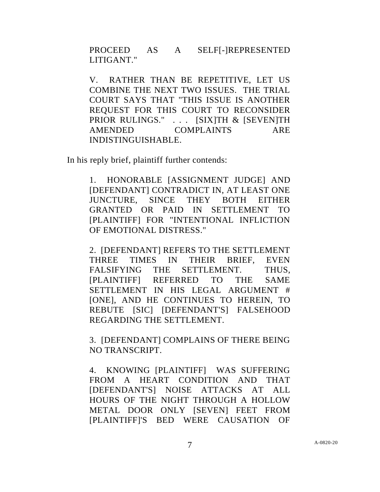PROCEED AS A SELF[-]REPRESENTED LITIGANT."

V. RATHER THAN BE REPETITIVE, LET US COMBINE THE NEXT TWO ISSUES. THE TRIAL COURT SAYS THAT "THIS ISSUE IS ANOTHER REQUEST FOR THIS COURT TO RECONSIDER PRIOR RULINGS." . . . [SIX]TH & [SEVEN]TH AMENDED COMPLAINTS ARE INDISTINGUISHABLE.

In his reply brief, plaintiff further contends:

1. HONORABLE [ASSIGNMENT JUDGE] AND [DEFENDANT] CONTRADICT IN, AT LEAST ONE JUNCTURE, SINCE THEY BOTH EITHER GRANTED OR PAID IN SETTLEMENT TO [PLAINTIFF] FOR "INTENTIONAL INFLICTION OF EMOTIONAL DISTRESS."

2. [DEFENDANT] REFERS TO THE SETTLEMENT THREE TIMES IN THEIR BRIEF, EVEN FALSIFYING THE SETTLEMENT. THUS, [PLAINTIFF] REFERRED TO THE SAME SETTLEMENT IN HIS LEGAL ARGUMENT # [ONE], AND HE CONTINUES TO HEREIN, TO REBUTE [SIC] [DEFENDANT'S] FALSEHOOD REGARDING THE SETTLEMENT.

3. [DEFENDANT] COMPLAINS OF THERE BEING NO TRANSCRIPT.

4. KNOWING [PLAINTIFF] WAS SUFFERING FROM A HEART CONDITION AND THAT [DEFENDANT'S] NOISE ATTACKS AT ALL HOURS OF THE NIGHT THROUGH A HOLLOW METAL DOOR ONLY [SEVEN] FEET FROM [PLAINTIFF]'S BED WERE CAUSATION OF